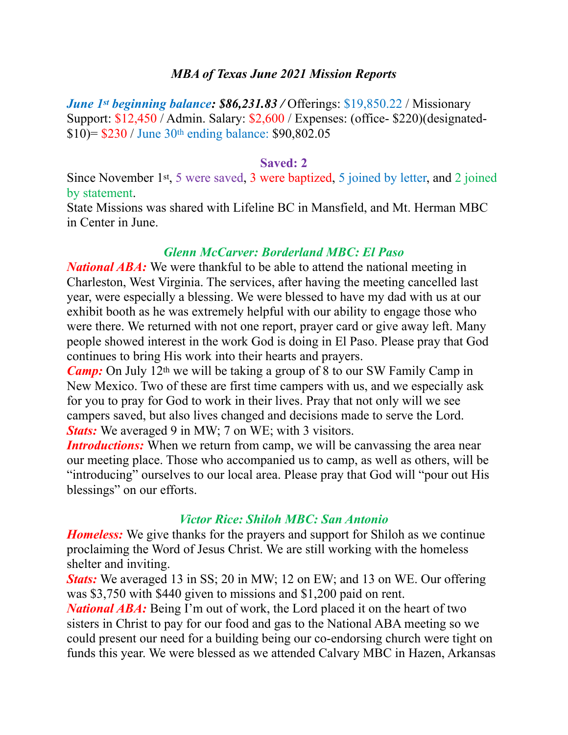### *MBA of Texas June 2021 Mission Reports*

*June 1st beginning balance: \$86,231.83 / Offerings: \$19,850.22 / Missionary* Support: \$12,450 / Admin. Salary: \$2,600 / Expenses: (office- \$220)(designated- \$10)= \$230 / June 30th ending balance: \$90,802.05

#### **Saved: 2**

Since November 1st, 5 were saved, 3 were baptized, 5 joined by letter, and 2 joined by statement.

State Missions was shared with Lifeline BC in Mansfield, and Mt. Herman MBC in Center in June.

### *Glenn McCarver: Borderland MBC: El Paso*

*National ABA*: We were thankful to be able to attend the national meeting in Charleston, West Virginia. The services, after having the meeting cancelled last year, were especially a blessing. We were blessed to have my dad with us at our exhibit booth as he was extremely helpful with our ability to engage those who were there. We returned with not one report, prayer card or give away left. Many people showed interest in the work God is doing in El Paso. Please pray that God continues to bring His work into their hearts and prayers.

*Camp*: On July 12<sup>th</sup> we will be taking a group of 8 to our SW Family Camp in New Mexico. Two of these are first time campers with us, and we especially ask for you to pray for God to work in their lives. Pray that not only will we see campers saved, but also lives changed and decisions made to serve the Lord. *Stats:* We averaged 9 in MW; 7 on WE; with 3 visitors.

*Introductions:* When we return from camp, we will be canvassing the area near our meeting place. Those who accompanied us to camp, as well as others, will be "introducing" ourselves to our local area. Please pray that God will "pour out His blessings" on our efforts.

### *Victor Rice: Shiloh MBC: San Antonio*

*Homeless:* We give thanks for the prayers and support for Shiloh as we continue proclaiming the Word of Jesus Christ. We are still working with the homeless shelter and inviting.

*Stats:* We averaged 13 in SS; 20 in MW; 12 on EW; and 13 on WE. Our offering was \$3,750 with \$440 given to missions and \$1,200 paid on rent.

*National ABA*: Being I'm out of work, the Lord placed it on the heart of two sisters in Christ to pay for our food and gas to the National ABA meeting so we could present our need for a building being our co-endorsing church were tight on funds this year. We were blessed as we attended Calvary MBC in Hazen, Arkansas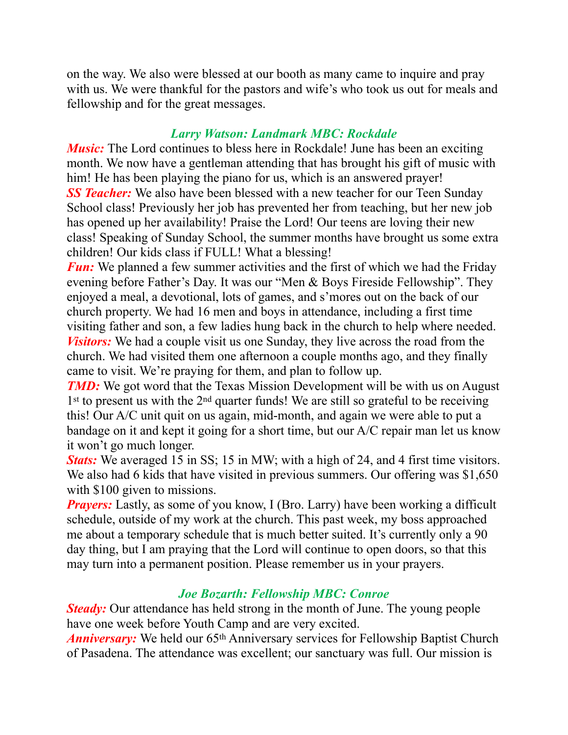on the way. We also were blessed at our booth as many came to inquire and pray with us. We were thankful for the pastors and wife's who took us out for meals and fellowship and for the great messages.

### *Larry Watson: Landmark MBC: Rockdale*

*Music*: The Lord continues to bless here in Rockdale! June has been an exciting month. We now have a gentleman attending that has brought his gift of music with him! He has been playing the piano for us, which is an answered prayer! **SS Teacher:** We also have been blessed with a new teacher for our Teen Sunday School class! Previously her job has prevented her from teaching, but her new job has opened up her availability! Praise the Lord! Our teens are loving their new class! Speaking of Sunday School, the summer months have brought us some extra children! Our kids class if FULL! What a blessing!

*Fun:* We planned a few summer activities and the first of which we had the Friday evening before Father's Day. It was our "Men & Boys Fireside Fellowship". They enjoyed a meal, a devotional, lots of games, and s'mores out on the back of our church property. We had 16 men and boys in attendance, including a first time visiting father and son, a few ladies hung back in the church to help where needed. *Visitors:* We had a couple visit us one Sunday, they live across the road from the church. We had visited them one afternoon a couple months ago, and they finally came to visit. We're praying for them, and plan to follow up.

*TMD***:** We got word that the Texas Mission Development will be with us on August 1<sup>st</sup> to present us with the 2<sup>nd</sup> quarter funds! We are still so grateful to be receiving this! Our A/C unit quit on us again, mid-month, and again we were able to put a bandage on it and kept it going for a short time, but our A/C repair man let us know it won't go much longer.

*Stats:* We averaged 15 in SS; 15 in MW; with a high of 24, and 4 first time visitors. We also had 6 kids that have visited in previous summers. Our offering was \$1,650 with \$100 given to missions.

*Prayers:* Lastly, as some of you know, I (Bro. Larry) have been working a difficult schedule, outside of my work at the church. This past week, my boss approached me about a temporary schedule that is much better suited. It's currently only a 90 day thing, but I am praying that the Lord will continue to open doors, so that this may turn into a permanent position. Please remember us in your prayers.

# *Joe Bozarth: Fellowship MBC: Conroe*

*Steady:* Our attendance has held strong in the month of June. The young people have one week before Youth Camp and are very excited.

*Anniversary:* We held our 65<sup>th</sup> Anniversary services for Fellowship Baptist Church of Pasadena. The attendance was excellent; our sanctuary was full. Our mission is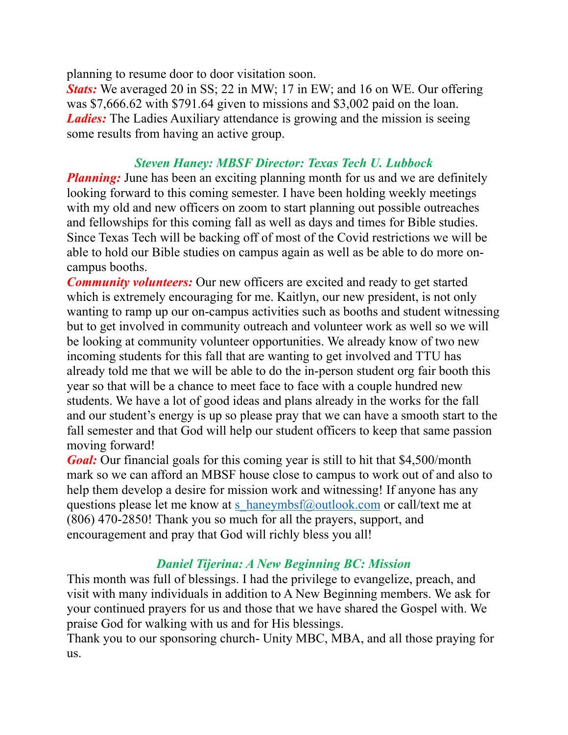planning to resume door to door visitation soon.

*Stats:* We averaged 20 in SS; 22 in MW; 17 in EW; and 16 on WE. Our offering was \$7,666.62 with \$791.64 given to missions and \$3,002 paid on the loan. *Ladies:* The Ladies Auxiliary attendance is growing and the mission is seeing some results from having an active group.

### *Steven Haney: MBSF Director: Texas Tech U. Lubbock*

*Planning:* June has been an exciting planning month for us and we are definitely looking forward to this coming semester. I have been holding weekly meetings with my old and new officers on zoom to start planning out possible outreaches and fellowships for this coming fall as well as days and times for Bible studies. Since Texas Tech will be backing off of most of the Covid restrictions we will be able to hold our Bible studies on campus again as well as be able to do more oncampus booths.

*Community volunteers:* Our new officers are excited and ready to get started which is extremely encouraging for me. Kaitlyn, our new president, is not only wanting to ramp up our on-campus activities such as booths and student witnessing but to get involved in community outreach and volunteer work as well so we will be looking at community volunteer opportunities. We already know of two new incoming students for this fall that are wanting to get involved and TTU has already told me that we will be able to do the in-person student org fair booth this year so that will be a chance to meet face to face with a couple hundred new students. We have a lot of good ideas and plans already in the works for the fall and our student's energy is up so please pray that we can have a smooth start to the fall semester and that God will help our student officers to keep that same passion moving forward!

*Goal:* Our financial goals for this coming year is still to hit that \$4,500/month mark so we can afford an MBSF house close to campus to work out of and also to help them develop a desire for mission work and witnessing! If anyone has any questions please let me know at [s\\_haneymbsf@outlook.com](mailto:s_haneymbsf@outlook.com) or call/text me at (806) 470-2850! Thank you so much for all the prayers, support, and encouragement and pray that God will richly bless you all!

# *Daniel Tijerina: A New Beginning BC: Mission*

This month was full of blessings. I had the privilege to evangelize, preach, and visit with many individuals in addition to A New Beginning members. We ask for your continued prayers for us and those that we have shared the Gospel with. We praise God for walking with us and for His blessings.

Thank you to our sponsoring church- Unity MBC, MBA, and all those praying for us.